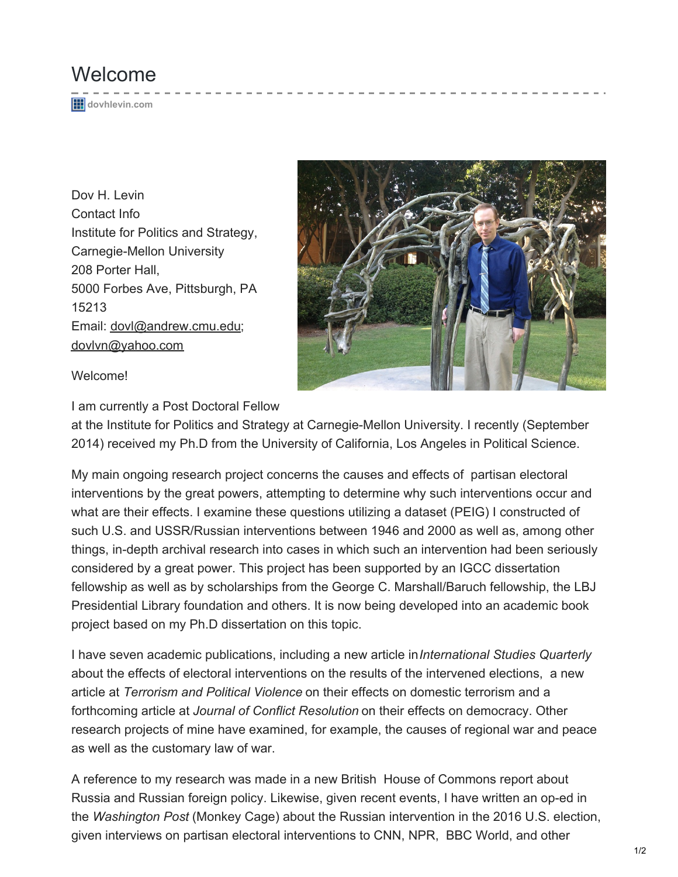## Welcome

**[dovhlevin.com](http://www.dovhlevin.com/)** 

Dov H. Levin Contact Info Institute for Politics and Strategy, Carnegie-Mellon University 208 Porter Hall, 5000 Forbes Ave, Pittsburgh, PA 15213 Email: [dovl@andrew.cmu.edu](mailto:dovl@andrew.cmu.edu); [dovlvn@yahoo.com](mailto:dovlvn@yahoo.com)



## Welcome!

I am currently a Post Doctoral Fellow

at the Institute for Politics and Strategy at Carnegie-Mellon University. I recently (September 2014) received my Ph.D from the University of California, Los Angeles in Political Science.

My main ongoing research project concerns the causes and effects of partisan electoral interventions by the great powers, attempting to determine why such interventions occur and what are their effects. I examine these questions utilizing a dataset (PEIG) I constructed of such U.S. and USSR/Russian interventions between 1946 and 2000 as well as, among other things, in-depth archival research into cases in which such an intervention had been seriously considered by a great power. This project has been supported by an IGCC dissertation fellowship as well as by scholarships from the George C. Marshall/Baruch fellowship, the LBJ Presidential Library foundation and others. It is now being developed into an academic book project based on my Ph.D dissertation on this topic.

I have seven academic publications, including a new article in*International Studies Quarterly* about the effects of electoral interventions on the results of the intervened elections, a new article at *Terrorism and Political Violence* on their effects on domestic terrorism and a forthcoming article at *Journal of Conflict Resolution* on their effects on democracy. Other research projects of mine have examined, for example, the causes of regional war and peace as well as the customary law of war.

A reference to my research was made in a new British House of Commons report about Russia and Russian foreign policy. Likewise, given recent events, I have written an op-ed in the *Washington Post* (Monkey Cage) about the Russian intervention in the 2016 U.S. election, given interviews on partisan electoral interventions to CNN, NPR, BBC World, and other